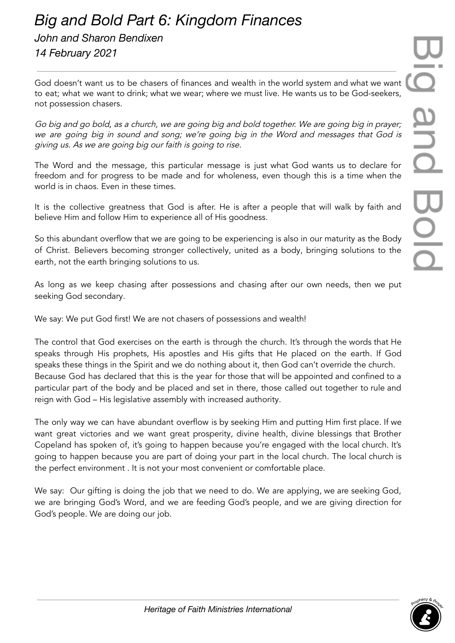## $\Box$ and Bolc

## *Big and Bold Part 6: Kingdom Finances John and Sharon Bendixen*

*14 February 2021*

God doesn't want us to be chasers of finances and wealth in the world system and what we want to eat; what we want to drink; what we wear; where we must live. He wants us to be God-seekers, not possession chasers.

Go big and go bold, as <sup>a</sup> church, we are going big and bold together. We are going big in prayer; we are going big in sound and song; we're going big in the Word and messages that God is giving us. As we are going big our faith is going to rise.

The Word and the message, this particular message is just what God wants us to declare for freedom and for progress to be made and for wholeness, even though this is a time when the world is in chaos. Even in these times.

It is the collective greatness that God is after. He is after a people that will walk by faith and believe Him and follow Him to experience all of His goodness.

So this abundant overflow that we are going to be experiencing is also in our maturity as the Body of Christ. Believers becoming stronger collectively, united as a body, bringing solutions to the earth, not the earth bringing solutions to us.

As long as we keep chasing after possessions and chasing after our own needs, then we put seeking God secondary.

We say: We put God first! We are not chasers of possessions and wealth!

The control that God exercises on the earth is through the church. It's through the words that He speaks through His prophets, His apostles and His gifts that He placed on the earth. If God speaks these things in the Spirit and we do nothing about it, then God can't override the church. Because God has declared that this is the year for those that will be appointed and confined to a particular part of the body and be placed and set in there, those called out together to rule and reign with God – His legislative assembly with increased authority.

The only way we can have abundant overflow is by seeking Him and putting Him first place. If we want great victories and we want great prosperity, divine health, divine blessings that Brother Copeland has spoken of, it's going to happen because you're engaged with the local church. It's going to happen because you are part of doing your part in the local church. The local church is the perfect environment . It is not your most convenient or comfortable place.

We say: Our gifting is doing the job that we need to do. We are applying, we are seeking God, we are bringing God's Word, and we are feeding God's people, and we are giving direction for God's people. We are doing our job.